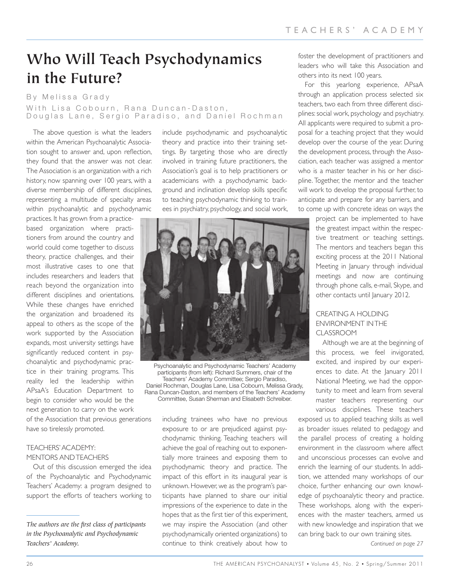# **Who Will Teach Psychodynamics in the Future?**

By Melissa Grady With Lisa Cobourn, Rana Duncan-Daston, Douglas Lane, Sergio Paradiso, and Daniel Rochman

The above question is what the leaders within the American Psychoanalytic Association sought to answer and, upon reflection, they found that the answer was not clear. The Association is an organization with a rich history, now spanning over 100 years, with a diverse membership of different disciplines, representing a multitude of specialty areas within psychoanalytic and psychodynamic

practices. It has grown from a practicebased organization where practitioners from around the country and world could come together to discuss theory, practice challenges, and their most illustrative cases to one that includes researchers and leaders that reach beyond the organization into different disciplines and orientations. While these changes have enriched the organization and broadened its appeal to others as the scope of the work supported by the Association expands, most university settings have significantly reduced content in psychoanalytic and psychodynamic practice in their training programs. This reality led the leadership within APsaA's Education Department to begin to consider who would be the next generation to carry on the work of the Association that previous generations have so tirelessly promoted.

#### TEACHERS' ACADEMY: MENTORS AND TEACHERS

Out of this discussion emerged the idea of the Psychoanalytic and Psychodynamic Teachers' Academy: a program designed to support the efforts of teachers working to

include psychodynamic and psychoanalytic theory and practice into their training settings. By targeting those who are directly involved in training future practitioners, the Association's goal is to help practitioners or academicians with a psychodynamic background and inclination develop skills specific to teaching psychodynamic thinking to trainees in psychiatry, psychology, and social work,



Psychoanalytic and Psychodynamic Teachers' Academy participants (from left): Richard Summers, chair of the Teachers' Academy Committee; Sergio Paradiso, Daniel Rochman, Douglas Lane, Lisa Cobourn, Melissa Grady, Rana Duncan-Daston, and members of the Teachers' Academy Committee, Susan Sherman and Elisabeth Schreiber.

including trainees who have no previous exposure to or are prejudiced against psychodynamic thinking. Teaching teachers will achieve the goal of reaching out to exponentially more trainees and exposing them to psychodynamic theory and practice. The impact of this effort in its inaugural year is unknown. However, we as the program's participants have planned to share our initial impressions of the experience to date in the hopes that as the first tier of this experiment, we may inspire the Association (and other psychodynamically oriented organizations) to continue to think creatively about how to

foster the development of practitioners and leaders who will take this Association and others into its next 100 years.

For this yearlong experience, APsaA through an application process selected six teachers, two each from three different disciplines: social work, psychology and psychiatry. All applicants were required to submit a proposal for a teaching project that they would develop over the course of the year. During the development process, through the Association, each teacher was assigned a mentor who is a master teacher in his or her discipline. Together, the mentor and the teacher will work to develop the proposal further, to anticipate and prepare for any barriers, and to come up with concrete ideas on ways the

> project can be implemented to have the greatest impact within the respective treatment or teaching settings. The mentors and teachers began this exciting process at the 2011 National Meeting in January through individual meetings and now are continuing through phone calls, e-mail, Skype, and other contacts until January 2012.

### CREATING A HOLDING ENVIRONMENT IN THE CLASSROOM

Although we are at the beginning of this process, we feel invigorated, excited, and inspired by our experiences to date. At the January 2011 National Meeting, we had the opportunity to meet and learn from several master teachers representing our various disciplines. These teachers

exposed us to applied teaching skills as well as broader issues related to pedagogy and the parallel process of creating a holding environment in the classroom where affect and unconscious processes can evolve and enrich the learning of our students. In addition, we attended many workshops of our choice, further enhancing our own knowledge of psychoanalytic theory and practice. These workshops, along with the experiences with the master teachers, armed us with new knowledge and inspiration that we can bring back to our own training sites.

*Continued on page 27*

*The authors are the first class of participants in the Psychoanalytic and Psychodynamic Teachers' Academy.*